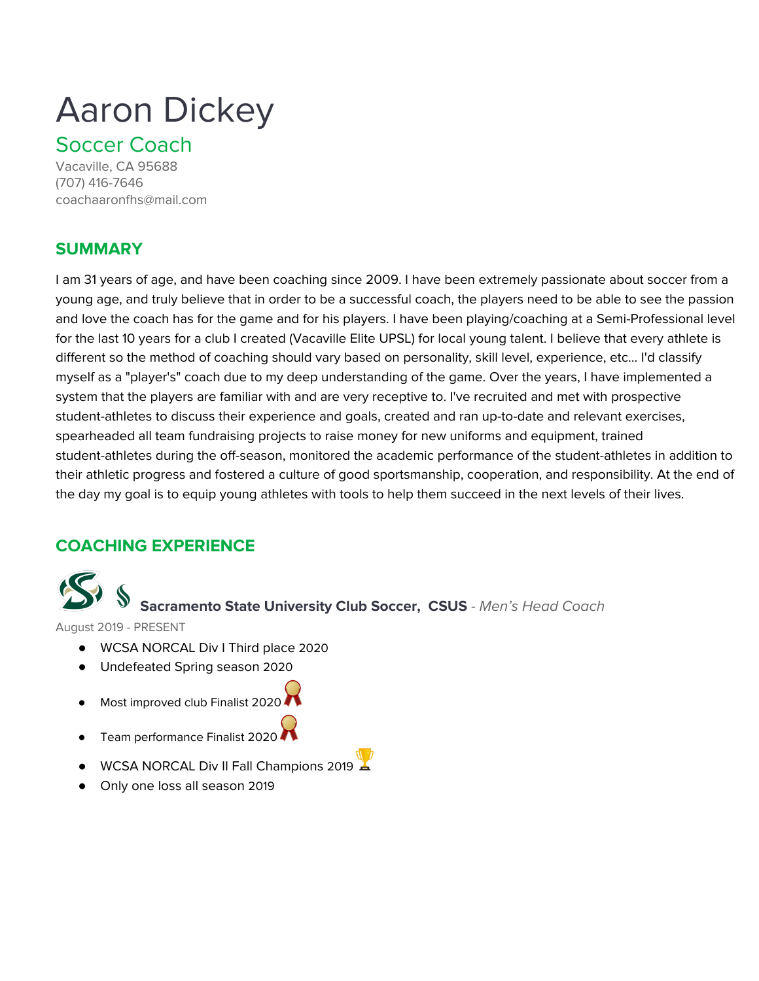## Aaron Dickey

## Soccer Coach

Vacaville, CA 95688 (707) 416-7646 coachaaronfhs@mail.com

## **SUMMARY**

I am 31 years of age, and have been coaching since 2009. I have been extremely passionate about soccer from a young age, and truly believe that in order to be a successful coach, the players need to be able to see the passion and love the coach has for the game and for his players. I have been playing/coaching at a Semi-Professional level for the last 10 years for a club I created (Vacaville Elite UPSL) for local young talent. I believe that every athlete is different so the method of coaching should vary based on personality, skill level, experience, etc... I'd classify myself as a "player's" coach due to my deep understanding of the game. Over the years, I have implemented a system that the players are familiar with and are very receptive to. I've recruited and met with prospective student-athletes to discuss their experience and goals, created and ran up-to-date and relevant exercises, spearheaded all team fundraising projects to raise money for new uniforms and equipment, trained student-athletes during the off-season, monitored the academic performance of the student-athletes in addition to their athletic progress and fostered a culture of good sportsmanship, cooperation, and responsibility. At the end of the day my goal is to equip young athletes with tools to help them succeed in the next levels of their lives.

## **COACHING EXPERIENCE**



## **Sacramento State University Club Soccer, CSUS** - Men's Head Coach

August 2019 - PRESENT

- WCSA NORCAL Div I Third place 2020
- Undefeated Spring season 2020
- Most improved club Finalist 2020
- Team performance Finalist 2020 ▲
- WCSA NORCAL Div II Fall Champions 2019
- Only one loss all season 2019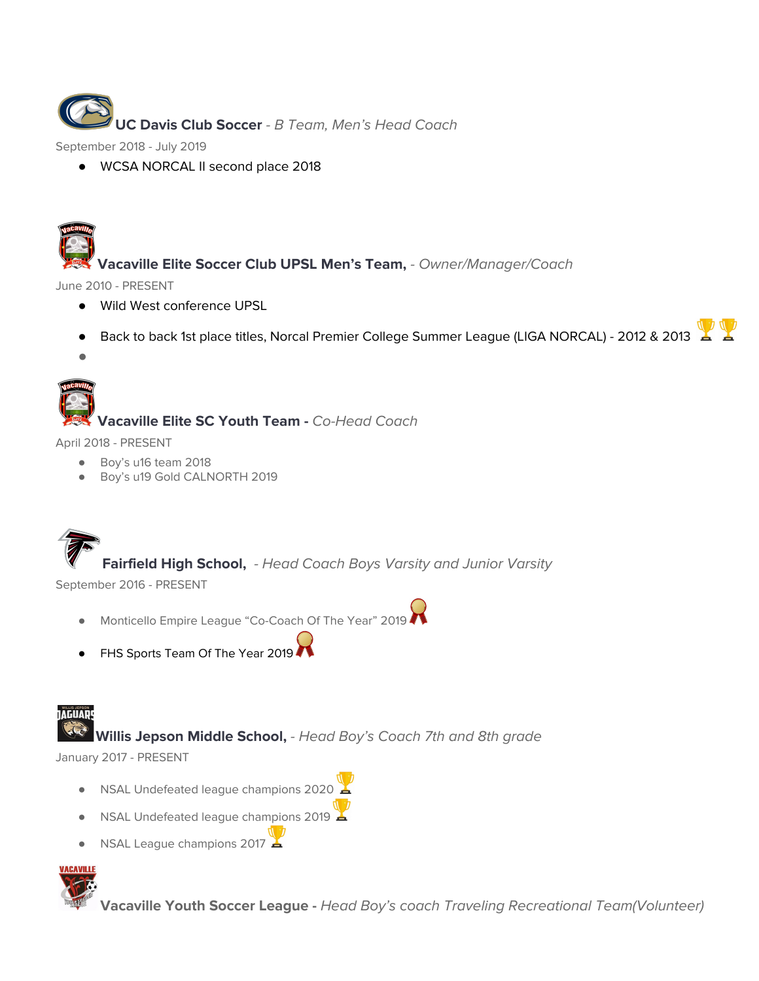

September 2018 - July 2019

● WCSA NORCAL II second place 2018



June 2010 - PRESENT

- Wild West conference UPSL
- Back to back 1st place titles, Norcal Premier College Summer League (LIGA NORCAL) 2012 & 2013

*●*

# **Vacaville Elite SC Youth Team -** Co-Head Coach

April 2018 - PRESENT

- Boy's u16 team 2018
- Boy's u19 Gold CALNORTH 2019

**Fairfield High School,** - Head Coach Boys Varsity and Junior Varsity

September 2016 - PRESENT

- Monticello Empire League "Co-Coach Of The Year" 2019
- FHS Sports Team Of The Year 2019

## **TAGUAR**

.Co **Willis Jepson Middle School,** - Head Boy's Coach 7th and 8th grade

January 2017 - PRESENT

- NSAL Undefeated league champions 2020
- NSAL Undefeated league champions 2019
- NSAL League champions 2017



**Vacaville Youth Soccer League -** Head Boy's coach Traveling Recreational Team(Volunteer)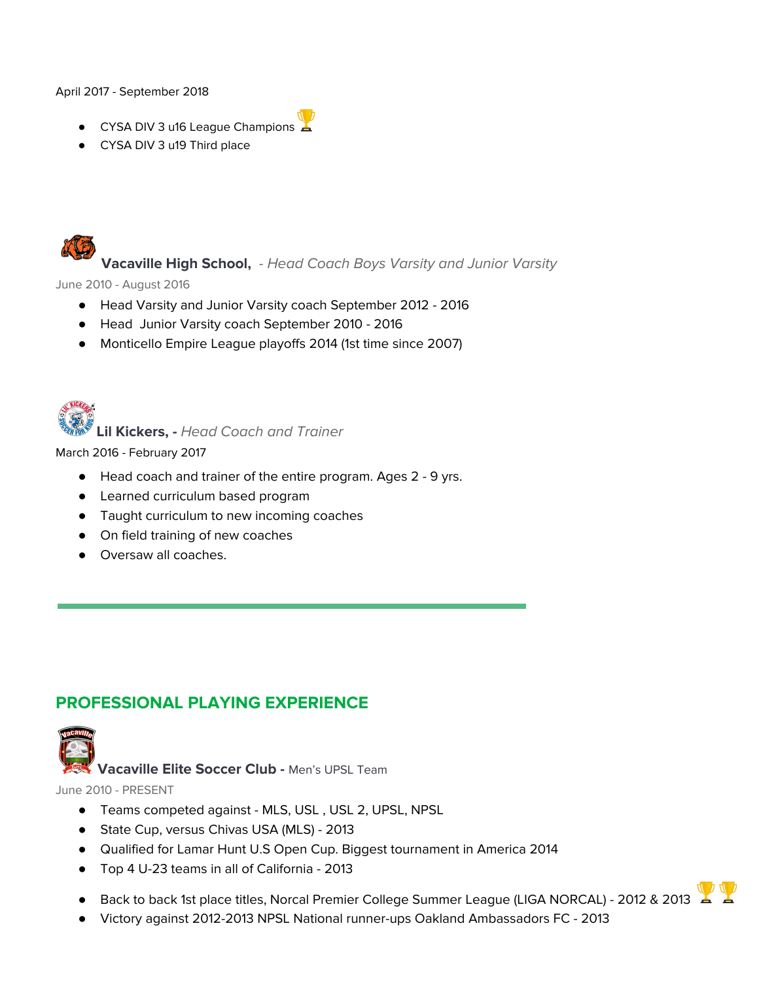#### April 2017 - September 2018

- CYSA DIV 3 u16 League Champions
- CYSA DIV 3 u19 Third place



**Vacaville High School,** - Head Coach Boys Varsity and Junior Varsity

June 2010 - August 2016

- Head Varsity and Junior Varsity coach September 2012 2016
- Head Junior Varsity coach September 2010 2016
- Monticello Empire League playoffs 2014 (1st time since 2007)



**Lil Kickers, -** Head Coach and Trainer

March 2016 - February 2017

- Head coach and trainer of the entire program. Ages 2 9 yrs.
- Learned curriculum based program
- Taught curriculum to new incoming coaches
- On field training of new coaches
- Oversaw all coaches.

## **PROFESSIONAL PLAYING EXPERIENCE**



**Vacaville Elite Soccer Club -** Men's UPSL Team

June 2010 - PRESENT

- Teams competed against MLS, USL , USL 2, UPSL, NPSL
- State Cup, versus Chivas USA (MLS) 2013
- Qualified for Lamar Hunt U.S Open Cup. Biggest tournament in America 2014
- Top 4 U-23 teams in all of California 2013
- Back to back 1st place titles, Norcal Premier College Summer League (LIGA NORCAL) 2012 & 2013
- Victory against 2012-2013 NPSL National runner-ups Oakland Ambassadors FC 2013